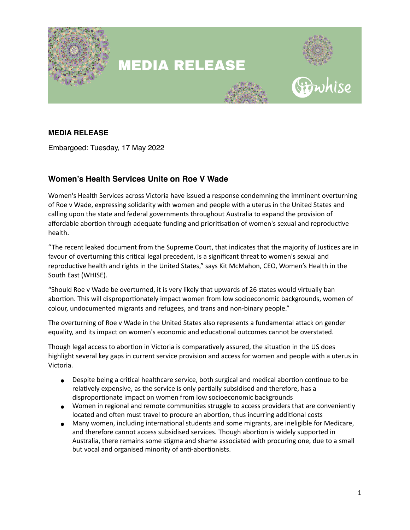

# **MEDIA RELEASE**



### **MEDIA RELEASE**

Embargoed: Tuesday, 17 May 2022

## **Women's Health Services Unite on Roe V Wade**

Women's Health Services across Victoria have issued a response condemning the imminent overturning of Roe v Wade, expressing solidarity with women and people with a uterus in the United States and calling upon the state and federal governments throughout Australia to expand the provision of affordable abortion through adequate funding and prioritisation of women's sexual and reproductive health.

"The recent leaked document from the Supreme Court, that indicates that the majority of Justices are in favour of overturning this critical legal precedent, is a significant threat to women's sexual and reproductive health and rights in the United States," says Kit McMahon, CEO, Women's Health in the South East (WHISE).

"Should Roe v Wade be overturned, it is very likely that upwards of 26 states would virtually ban abortion. This will disproportionately impact women from low socioeconomic backgrounds, women of colour, undocumented migrants and refugees, and trans and non-binary people."

The overturning of Roe v Wade in the United States also represents a fundamental attack on gender equality, and its impact on women's economic and educational outcomes cannot be overstated.

Though legal access to abortion in Victoria is comparatively assured, the situation in the US does highlight several key gaps in current service provision and access for women and people with a uterus in Victoria.

- Despite being a critical healthcare service, both surgical and medical abortion continue to be relatively expensive, as the service is only partially subsidised and therefore, has a disproportionate impact on women from low socioeconomic backgrounds
- Women in regional and remote communities struggle to access providers that are conveniently located and often must travel to procure an abortion, thus incurring additional costs
- Many women, including international students and some migrants, are ineligible for Medicare, and therefore cannot access subsidised services. Though abortion is widely supported in Australia, there remains some stigma and shame associated with procuring one, due to a small but vocal and organised minority of anti-abortionists.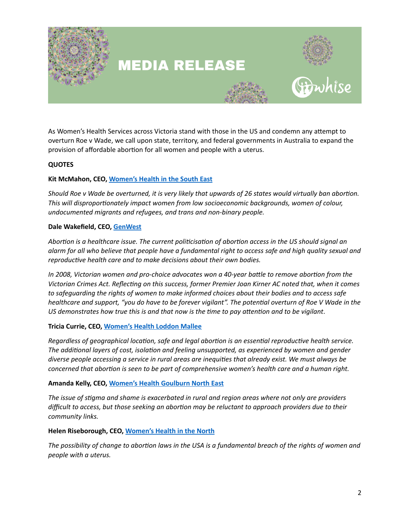

## **MEDIA RELEASE**



As Women's Health Services across Victoria stand with those in the US and condemn any attempt to overturn Roe v Wade, we call upon state, territory, and federal governments in Australia to expand the provision of affordable abortion for all women and people with a uterus.

#### **QUOTES**

#### **Kit McMahon, CEO, [Women's Health in the South East](http://www.whise.org.au)**

*Should Roe v Wade be overturned, it is very likely that upwards of 26 states would virtually ban abortion. This will disproportionately impact women from low socioeconomic backgrounds, women of colour, undocumented migrants and refugees, and trans and non-binary people.*

#### **Dale Wakefield, CEO, [GenWest](https://genwest.org.au/)**

*Abortion is a healthcare issue. The current politicisation of abortion access in the US should signal an alarm for all who believe that people have a fundamental right to access safe and high quality sexual and reproductive health care and to make decisions about their own bodies.* 

*In 2008, Victorian women and pro-choice advocates won a 40-year battle to remove abortion from the Victorian Crimes Act. Reflecting on this success, former Premier Joan Kirner AC noted that, when it comes to safeguarding the rights of women to make informed choices about their bodies and to access safe healthcare and support, "you do have to be forever vigilant". The potential overturn of Roe V Wade in the US demonstrates how true this is and that now is the time to pay attention and to be vigilant*.

#### **Tricia Currie, CEO, [Women's Health Loddon Mallee](http://whlm.org.au/)**

*Regardless of geographical location, safe and legal abortion is an essential reproductive health service. The additional layers of cost, isolation and feeling unsupported, as experienced by women and gender diverse people accessing a service in rural areas are inequities that already exist. We must always be concerned that abortion is seen to be part of comprehensive women's health care and a human right.*

#### **Amanda Kelly, CEO, [Women's Health Goulburn North East](https://www.whealth.com.au/)**

*The issue of stigma and shame is exacerbated in rural and region areas where not only are providers difficult to access, but those seeking an abortion may be reluctant to approach providers due to their community links.*

#### **Helen Riseborough, CEO, [Women's Health in the North](https://www.whin.org.au/)**

*The possibility of change to abortion laws in the USA is a fundamental breach of the rights of women and people with a uterus.*